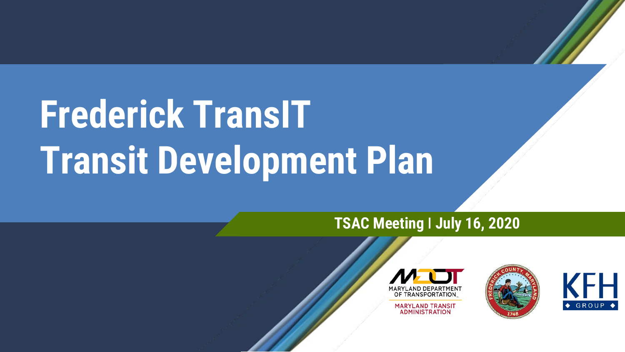# **Frederick TransIT Transit Development Plan**

#### **TSAC Meeting ǀ July 16, 2020**



**MARYLAND TRANSIT ADMINISTRATION** 



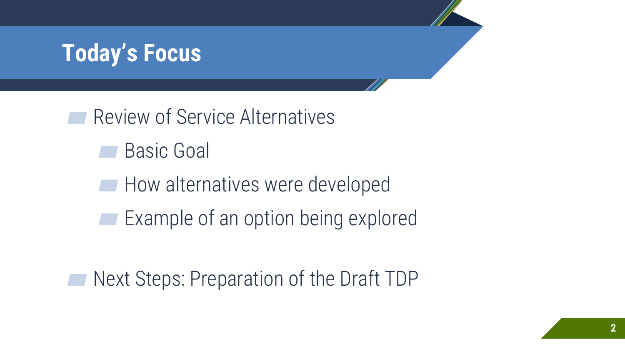#### **Today's Focus**

Review of Service Alternatives

**Basic Goal** 

**■ How alternatives were developed** 

**■ Example of an option being explored** 

Next Steps: Preparation of the Draft TDP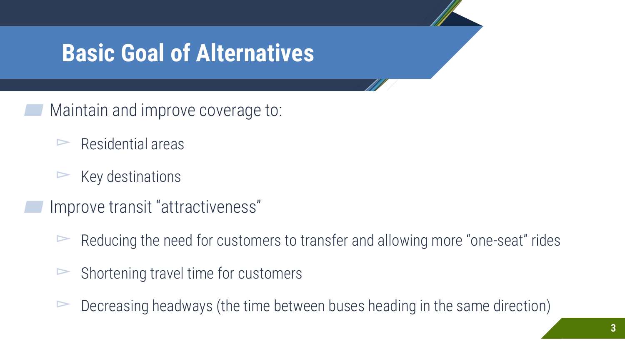#### **Basic Goal of Alternatives**

- Maintain and improve coverage to:
	- $\triangleright$  Residential areas
	- $ightharpoonright$  Key destinations
- ▰ Improve transit "attractiveness"
	- $\triangleright$  Reducing the need for customers to transfer and allowing more "one-seat" rides
	- $\triangleright$  Shortening travel time for customers
	- $\triangleright$  Decreasing headways (the time between buses heading in the same direction)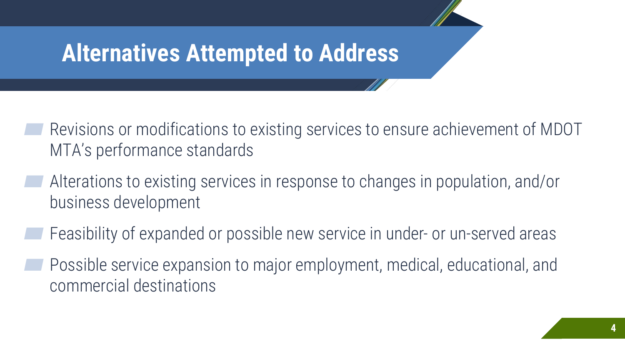#### **Alternatives Attempted to Address**

- Revisions or modifications to existing services to ensure achievement of MDOT MTA's performance standards
- ▰ Alterations to existing services in response to changes in population, and/or business development
- Feasibility of expanded or possible new service in under- or un-served areas
- Possible service expansion to major employment, medical, educational, and commercial destinations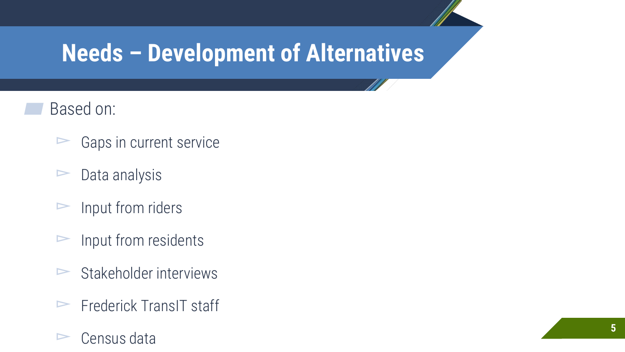### **Needs – Development of Alternatives**

- Based on:
	- $\triangleright$  Gaps in current service
	- $\triangleright$  Data analysis
	- $\triangleright$  Input from riders
	- $\triangleright$  Input from residents
	- $\triangleright$  Stakeholder interviews
	- $\blacktriangleright$  Frederick TransIT staff
	- $\triangleright$  Census data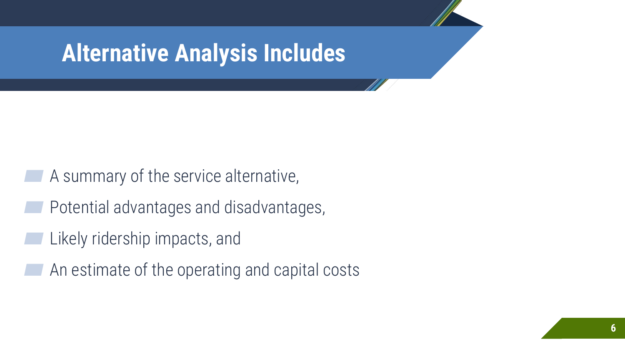#### **Alternative Analysis Includes**

- A summary of the service alternative,
- Potential advantages and disadvantages,
- Likely ridership impacts, and
- An estimate of the operating and capital costs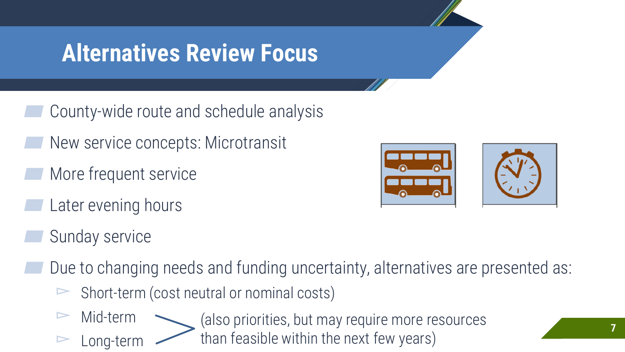#### **Alternatives Review Focus**

- County-wide route and schedule analysis
- New service concepts: Microtransit
- More frequent service
- Later evening hours
- Sunday service
- Due to changing needs and funding uncertainty, alternatives are presented as:
	- ▻ Short-term (cost neutral or nominal costs)
	- Mid-term ▻ Long-term (also priorities, but may require more resources than feasible within the next few years)

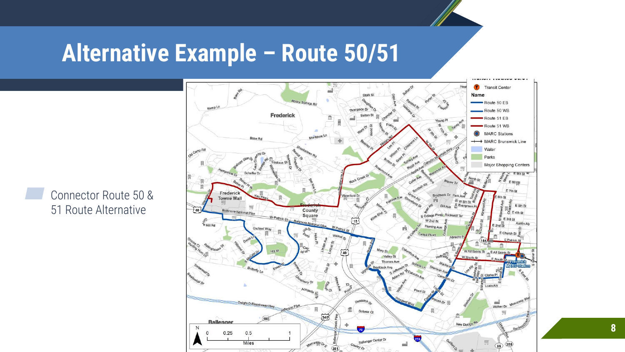#### **Alternative Example – Route 50/51**



Connector Route 50 & 51 Route Alternative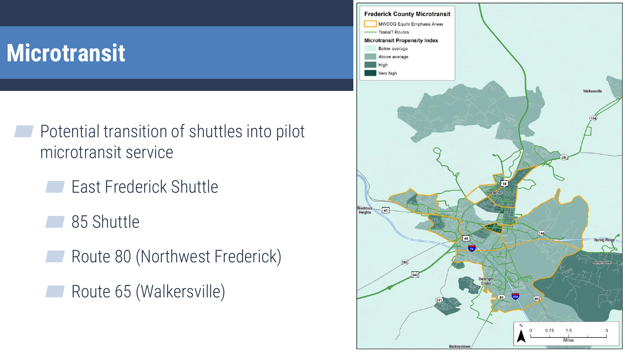## **Microtransit**

- ▰ Potential transition of shuttles into pilot microtransit service
	- ▰ East Frederick Shuttle
	- 85 Shuttle
	- Route 80 (Northwest Frederick)
	- ▰ Route 65 (Walkersville)

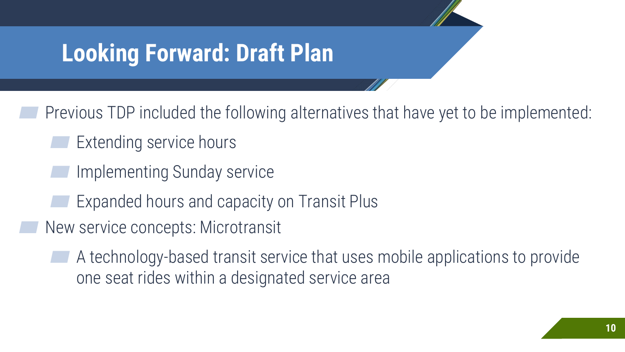#### **Looking Forward: Draft Plan**

Previous TDP included the following alternatives that have yet to be implemented:

- Extending service hours
- Implementing Sunday service
	- Expanded hours and capacity on Transit Plus
- New service concepts: Microtransit
	- ▰ A technology-based transit service that uses mobile applications to provide one seat rides within a designated service area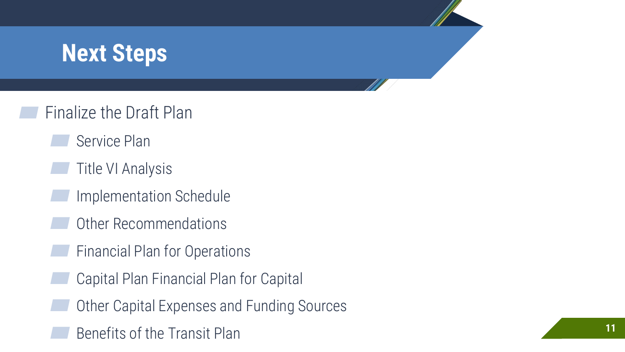### **Next Steps**

- ▰ Finalize the Draft Plan
	- Service Plan
	- **Title VI Analysis**
	- Implementation Schedule
	- Other Recommendations
	- ▰ Financial Plan for Operations
	- ▰ Capital Plan Financial Plan for Capital
	- Other Capital Expenses and Funding Sources
	- Benefits of the Transit Plan **11 11**